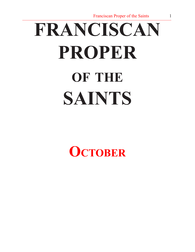# **FRANCISCAN PROPER of the SAINTS**

**October**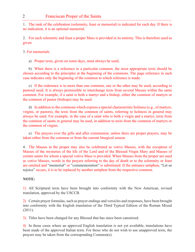1. The rank of the celebration (solemnity, feast or memorial) is indicated for each day. If there is no indication, it is an optional memorial.

2. For each solemnity and feast a proper Mass is provided in its entirety. This is therefore used as given.

3. For memorials:

a) Proper texts, given on some days, must always be used;

b) When there is a reference to a particular common, the most appropriate texts should be chosen according to the principles at the beginning of the commons. The page reference in each case indicates only the beginning of the common to which reference is made.

c) If the rederence is to more than one common, one or the other may be used, according to pastoral need. It is always permissible to interchange texts from several Masses within the same common. For example, if a saint is both a martyr and a bishop, either the common of martyrs or the common of pastor (bishops) may be used.

d) In addition to the commons which express a special characteristic holiness (e.g., of martyrs, virgins, or pastors), the texts from the common of saints, referring to holiness in general may always be used. For example, in the case of a saint who is both a virgin and a martyr, texts from the common of saints in general may be used, in addition to texts from the common of martyrs or the common of virgins.

e) The prayers over the gifts and after communion, unless there are proper prayers, may be taken either from the common or from the current liturgical season.

4. The Masses in the proper may also be celebrated as votive Masses, with the exception of Masses of the mysteries of the life of the Lord and of the Blessed Virgin Mary and Masses of certain saints for whom a special votive Mass is provided. When Masses from the proper are used as votive Masses, words in the prayers referring to the day of death or to the solemnity or feast are omitted and "memorial" or "commemoration" is substituted. If the entrance antiphon, "Let us rejoice" occurs, it is to be replaced by another antiphon from the respective common.

#### **NOTE:**

1) All Scriptural texts have been brought into conformity with the New American, revised translation, approved by the USCCB.

2) Certain prayer formulas, such as prayer endings and versicles and responses, have been brought into conformity with the English translation of the Third Typical Edition of the Roman Missal (2011).

3) Titles have been changed for any Blessed that has since been canonized.

4) In those cases where an approved English translation is not yet available, translations have been made of the approved Italian texts. For those who do not wish to use unapproved texts, the prayers may be taken from the corresponding Common(s).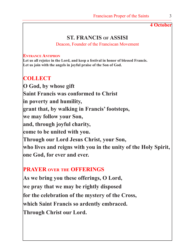# **ST. FRANCIS of ASSISI**

Deacon, Founder of the Franciscan Movement

#### **Entrance Antiphon**

**Let us all rejoice in the Lord, and keep a festival in honor of blessed Francis. Let us join with the angels in joyful praise of the Son of God.**

# **COLLECT**

**O God, by whose gift Saint Francis was conformed to Christ in poverty and humility, grant that, by walking in Francis' footsteps, we may follow your Son, and, through joyful charity, come to be united with you. Through our Lord Jesus Christ, your Son, who lives and reigns with you in the unity of the Holy Spirit, one God, for ever and ever.**

# **PRAYER over the OFFERINGS**

**As we bring you these offerings, O Lord, we pray that we may be rightly disposed for the celebration of the mystery of the Cross, which Saint Francis so ardently embraced. Through Christ our Lord.**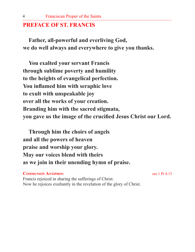#### **PREFACE OF ST. FRANCIS**

**Father, all-powerful and everliving God, we do well always and everywhere to give you thanks.**

**You exalted your servant Francis through sublime poverty and humility to the heights of evangelical perfection. You inflamed him with seraphic love to exult with unspeakable joy over all the works of your creation. Branding him with the sacred stigmata, you gave us the image of the crucified Jesus Christ our Lord.**

**Through him the choirs of angels and all the powers of heaven praise and worship your glory. May our voices blend with theirs as we join in their unending hymn of praise.**

#### **COMMUNION ANTIPHON** see 1 Pt 4:13

Francis rejoiced in sharing the sufferings of Christ. Now he rejoices exultantly in the revelation of the glory of Christ.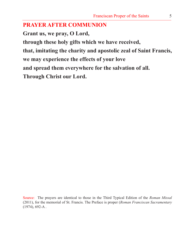# **PRAYER AFTER COMMUNION**

**Grant us, we pray, O Lord, through these holy gifts which we have received, that, imitating the charity and apostolic zeal of Saint Francis, we may experience the effects of your love and spread them everywhere for the salvation of all. Through Christ our Lord.**

Source: The prayers are identical to those in the Third Typical Edition of the *Roman Missal* (2011), for the memorial of St. Francis. The Preface is proper (*Roman Franciscan Sacramentary*  $(1974)$ , 692-A.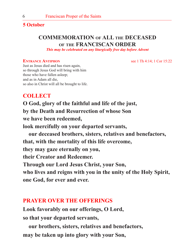# **COMMEMORATION of ALL the DECEASED of the FRANCISCAN ORDER**

*This may be celebrated on any liturgically free day before Advent*

**ENTRANCE ANTIPHON** see 1 Th 4:14; 1 Cor 15:22

Just as Jesus died and has risen again, so through Jesus God will bring with him those who have fallen asleep; and as in Adam all die, so also in Christ will all be brought to life.

## **COLLECT**

**O God, glory of the faithful and life of the just, by the Death and Resurrection of whose Son we have been redeemed, look mercifully on your departed servants, our deceased brothers, sisters, relatives and benefactors, that, with the mortality of this life overcome, they may gaze eternally on you, their Creator and Redeemer. Through our Lord Jesus Christ, your Son, who lives and reigns with you in the unity of the Holy Spirit, one God, for ever and ever.**

# **PRAYER OVER THE OFFERINGS**

**Look favorably on our offerings, O Lord, so that your departed servants,**

**our brothers, sisters, relatives and benefactors, may be taken up into glory with your Son,**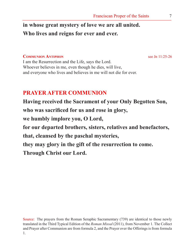# **in whose great mystery of love we are all united. Who lives and reigns for ever and ever.**

#### **COMMUNION ANTIPHON** see Jn 11:25-26

I am the Resurrection and the Life, says the Lord. Whoever believes in me, even though he dies, will live, and everyone who lives and believes in me will not die for ever.

# **PRAYER AFTER COMMUNION**

**Having received the Sacrament of your Only Begotten Son, who was sacrificed for us and rose in glory, we humbly implore you, O Lord, for our departed brothers, sisters, relatives and benefactors, that, cleansed by the paschal mysteries, they may glory in the gift of the resurrection to come. Through Christ our Lord.**

Source: The prayers from the Roman Seraphic Sacramentary (739) are identical to those newly translated in the Third Typical Edition of the *Roman Missal* (2011), from November 1. The Collect and Prayer after Communion are from formula 2, and the Prayer over the Offerings is from formula 1.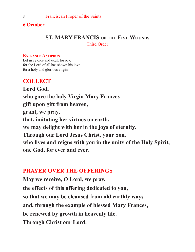## **ST. MARY FRANCIS of the Five Wounds** Third Order

#### **Entrance Antiphon**

Let us rejoice and exult for joy: for the Lord of all has shown his love for a holy and glorious virgin.

#### **COLLECT**

**Lord God, who gave the holy Virgin Mary Frances gift upon gift from heaven, grant, we pray, that, imitating her virtues on earth, we may delight with her in the joys of eternity. Through our Lord Jesus Christ, your Son, who lives and reigns with you in the unity of the Holy Spirit, one God, for ever and ever.**

### **PRAYER OVER THE OFFERINGS**

**May we receive, O Lord, we pray, the effects of this offering dedicated to you, so that we may be cleansed from old earthly ways and, through the example of blessed Mary Frances, be renewed by growth in heavenly life. Through Christ our Lord.**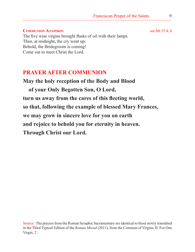**COMMUNION ANTIPHON** see Mt 25:4, 6 The five wise virgins brought flasks of oil with their lamps. Then, at midnight, the cry went up: Behold, the Bridegroom is coming! Come out to meet Christ the Lord.

# **PRAYER AFTER COMMUNION**

**May the holy reception of the Body and Blood of your Only Begotten Son, O Lord, turn us away from the cares of this fleeting world, so that, following the example of blessed Mary Frances, we may grow in sincere love for you on earth and rejoice to behold you for eternity in heaven. Through Christ our Lord.**

Source: The prayers from the Roman Seraphic Sacramentary are identical to those newly translated in the Third Typical Edition of the *Roman Missal* (2011), from the Common of Virgins, II. For One Virgin, 2 .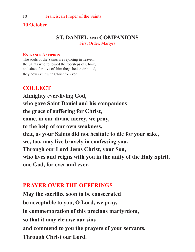#### **ST. DANIEL and COMPANIONS** First Order, Martyrs

#### **Entrance Antiphon**

The souls of the Saints are rejoicing in heaven, the Saints who followed the footsteps of Christ, and since for love of him they shed their blood, they now exult with Christ for ever.

#### **COLLECT**

**Almighty ever-living God, who gave Saint Daniel and his companions the grace of suffering for Christ, come, in our divine mercy, we pray, to the help of our own weakness, that, as your Saints did not hesitate to die for your sake, we, too, may live bravely in confessing you. Through our Lord Jesus Christ, your Son, who lives and reigns with you in the unity of the Holy Spirit, one God, for ever and ever.**

#### **PRAYER OVER THE OFFERINGS**

**May the sacrifice soon to be consecrated be acceptable to you, O Lord, we pray, in commemoration of this precious martyrdom, so that it may cleanse our sins and commend to you the prayers of your servants. Through Christ our Lord.**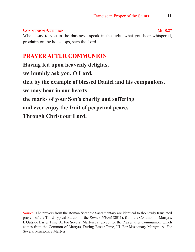#### **COMMUNION ANTIPHON** Mt 10:27

What I say to you in the darkness, speak in the light; what you hear whispered, proclaim on the housetops, says the Lord.

# **PRAYER AFTER COMMUNION**

**Having fed upon heavenly delights, we humbly ask you, O Lord, that by the example of blessed Daniel and his companions, we may bear in our hearts the marks of your Son's charity and suffering and ever enjoy the fruit of perpetual peace. Through Christ our Lord.**

Source: The prayers from the Roman Seraphic Sacramentary are identical to tho newly translated prayers of the Third Typical Edition of the *Roman Missal* (2011), from the Common of Martyrs, I. Outside Easter Time, A. For Several Martyrs, 2; except for the Prayer after Communion, which comes from the Common of Martyrs, During Easter Time, III. For Missionary Martyrs, A. For Several Missionary Martyrs.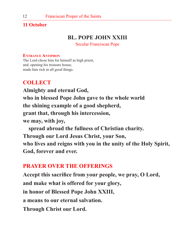# **BL. POPE JOHN XXIII**

Secular Franciscan Pope

#### **Entrance Antiphon**

The Lord chose him for himself as high priest, and, opening his treasure house, made him rich in all good things.

#### **COLLECT**

**Almighty and eternal God, who in blessed Pope John gave to the whole world the shining example of a good shepherd, grant that, through his intercession, we may, with joy,**

**spread abroad the fullness of Christian charity. Through our Lord Jesus Christ, your Son, who lives and reigns with you in the unity of the Holy Spirit, God, forever and ever.**

# **PRAYER OVER THE OFFERINGS**

**Accept this sacrifice from your people, we pray, O Lord, and make what is offered for your glory, in honor of Blessed Pope John XXIII, a means to our eternal salvation. Through Christ our Lord.**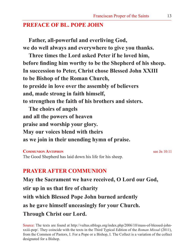### **PREFACE OF BL. POPE JOHN**

**Father, all-powerful and everliving God, we do well always and everywhere to give you thanks.**

**Three times the Lord asked Peter if he loved him, before finding him worthy to be the Shepherd of his sheep. In succession to Peter, Christ chose Blessed John XXIII to be Bishop of the Roman Church, to preside in love over the assembly of believers and, made strong in faith himself, to strengthen the faith of his brothers and sisters.**

**The choirs of angels and all the powers of heaven praise and worship your glory. May our voices blend with theirs as we join in their unending hymn of praise.**

#### **COMMUNION ANTIPHON** see Jn 10:11

The Good Shepherd has laid down his life for his sheep.

# **PRAYER AFTER COMMUNION**

**May the Sacrament we have received, O Lord our God, stir up in us that fire of charity with which Blessed Pope John burned ardently as he gave himself unceasingly for your Church. Through Christ our Lord.**

Source: The texts are found at http://vultus.stblogs.org/index.php/2006/10/mass-of-blessed-johnxxiii-pop/. They coincide with the texts in the Third Typical Edition of the *Roman Missal* (2011), from the Common of Pastors, I. For a Pope or a Bishop, I. The Collect is a variation of the collect designated for a Bishop.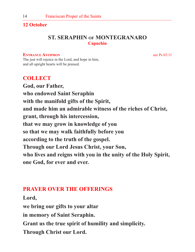### **ST. SERAPHIN of MONTEGRANARO Capuchin**

#### **ENTRANCE ANTIPHON** see Ps 63:11

The just will rejoice in the Lord, and hope in him, and all upright hearts will be praised.

### **COLLECT**

**God, our Father, who endowed Saint Seraphin with the manifold gifts of the Spirit, and made him an admirable witness of the riches of Christ, grant, through his intercession, that we may grow in knowledge of you so that we may walk faithfully before you according to the truth of the gospel. Through our Lord Jesus Christ, your Son, who lives and reigns with you in the unity of the Holy Spirit, one God, for ever and ever.**

#### **PRAYER OVER THE OFFERINGS**

**Lord,**

**we bring our gifts to your altar**

**in memory of Saint Seraphin.**

**Grant us the true spirit of humility and simplicity.**

**Through Christ our Lord.**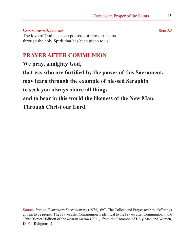#### **COMMUNION ANTIPHON** ROM ROM ROM ROM ROM BOTS

The love of God has been poured out into our hearts through the holy Spirit that has been given to us!

# **PRAYER AFTER COMMUNION**

**We pray, almighty God, that we, who are fortified by the power of this Sacrament, may learn through the example of blessed Seraphin to seek you always above all things and to bear in this world the likeness of the New Man. Through Christ our Lord.**

Source: *Roman Franciscan Sacramentary* (1974), 697. The Collect and Prayer over the Offerings appear to be proper. The Prayer after Communion is identical to the Prayer after Communion in the Third Typical Edition of the *Roman Missal* (2011), from the Common of Holy Men and Women, D. For Religious, 2.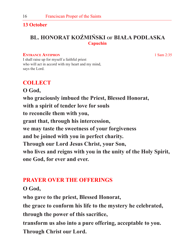# **BL. HONORAT KOMIÑSKI of BIA£A PODLASKA Capuchin**

#### **ENTRANCE ANTIPHON** 1 Sam 2:35

I shall raise up for myself a faithful priest who will act in accord with my heart and my mind, says the Lord.

# **COLLECT**

**O God, who graciously imbued the Priest, Blessed Honorat, with a spirit of tender love for souls to reconcile them with you, grant that, through his intercession, we may taste the sweetness of your forgiveness and be joined with you in perfect charity. Through our Lord Jesus Christ, your Son, who lives and reigns with you in the unity of the Holy Spirit, one God, for ever and ever.**

# **PRAYER OVER THE OFFERINGS**

**O God,**

**who gave to the priest, Blessed Honorat,**

**the grace to conform his life to the mystery he celebrated,**

**through the power of this sacrifice,**

**transform us also into a pure offering, acceptable to you. Through Christ our Lord.**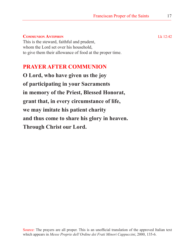#### **Communion Antiphon** Lk 12:42

This is the steward, faithful and prudent, whom the Lord set over his household, to give them their allowance of food at the proper time.

# **PRAYER AFTER COMMUNION**

**O Lord, who have given us the joy of participating in your Sacraments in memory of the Priest, Blessed Honorat, grant that, in every circumstance of life, we may imitate his patient charity and thus come to share his glory in heaven. Through Christ our Lord.**

Source: The prayers are all proper. This is an unofficial translation of the approved Italian text which appears in *Messe Proprie dell'Ordine dei Frati Minori Cappuccini*, 2000, 135-6.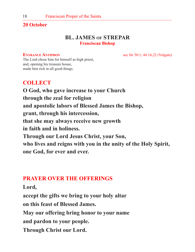#### **BL. JAMES of STREPAR Franciscan Bishop**

**ENTRANCE ANTIPHON** see Sir 50:1; 44:16,22 (Vulgate)

The Lord chose him for himself as high priest, and, opening his treasure house, made him rich in all good things.

#### **COLLECT**

**O God, who gave increase to your Church through the zeal for religion and apostolic labors of Blessed James the Bishop, grant, through his intercession, that she may always receive new growth in faith and in holiness. Through our Lord Jesus Christ, your Son, who lives and reigns with you in the unity of the Holy Spirit, one God, for ever and ever.**

#### **PRAYER OVER THE OFFERINGS**

**Lord,**

**accept the gifts we bring to your holy altar**

**on this feast of Blessed James.**

**May our offering bring honor to your name**

**and pardon to your people.**

**Through Christ our Lord.**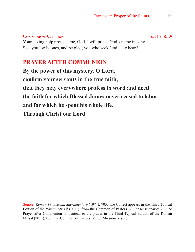**COMMUNION ANTIPHON** see Lk 10:1.9 Your saving help protects me, God. I will praise God's name in song. See, you lowly ones, and be glad; you who seek God, take heart!

# **PRAYER AFTER COMMUNION**

**By the power of this mystery, O Lord, confirm your servants in the true faith, that they may everywhere profess in word and deed the faith for which Blessed James never ceased to labor and for which he spent his whole life. Through Christ our Lord.**

Source: *Roman Franciscan Sacramentary* (1974), 705. The Collect appears in the Third Typical Edition of the *Roman Missal* (2011), from the Common of Pastors. V. For Missionaries 2. The Prayer after Communion is identical to the prayer in the Third Typical Edition of the Roman Missal (2011), from the Common of Pastors, V. For Missionaries, 1.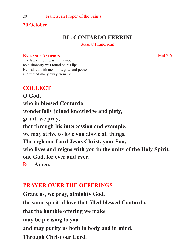# **BL. CONTARDO FERRINI**

Secular Franciscan

#### **ENTRANCE ANTIPHON** Mal 2:6

The law of truth was in his mouth; no dishonesty was found on his lips. He walked with me in integrity and peace, and turned many away from evil.

#### **COLLECT**

**O God, who in blessed Contardo wonderfully joined knowledge and piety, grant, we pray, that through his intercession and example, we may strive to love you above all things. Through our Lord Jesus Christ, your Son, who lives and reigns with you in the unity of the Holy Spirit, one God, for ever and ever.** R. **Amen.**

#### **PRAYER OVER THE OFFERINGS**

**Grant us, we pray, almighty God, the same spirit of love that filled blessed Contardo, that the humble offering we make may be pleasing to you and may purify us both in body and in mind. Through Christ our Lord.**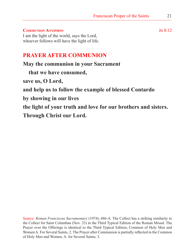**Communion Antiphon** Jn 8:12 I am the light of the world, says the Lord, whoever follows will have the light of life.

# **PRAYER AFTER COMMUNION**

**May the communion in your Sacrament that we have consumed, save us, O Lord, and help us to follow the example of blessed Contardo by showing in our lives the light of your truth and love for our brothers and sisters. Through Christ our Lord.**

Source: *Roman Franciscan Sacramentary* (1974), 686-A. The Collect has a striking similarity to the Collect for Saint Columban (Nov. 23) in the Third Typical Edition of the Roman Missal. The Prayer over the Offerings is identical to the Third Typical Edition, Common of Holy Men and Women A. For Several Saints, 2. The Prayer after Communion is partially reflected in the Common of Holy Men and Women, A. for Several Saints, 3.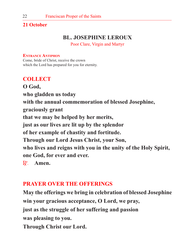# **BL. JOSEPHINE LEROUX**

Poor Clare, Virgin and Martyr

#### **Entrance Antiphon**

Come, bride of Christ, receive the crown which the Lord has prepared for you for eternity.

# **COLLECT**

**O God, who gladden us today with the annual commemoration of blessed Josephine, graciously grant that we may be helped by her merits, just as our lives are lit up by the splendor of her example of chastity and fortitude. Through our Lord Jesus Christ, your Son, who lives and reigns with you in the unity of the Holy Spirit, one God, for ever and ever.** R. **Amen.**

# **PRAYER OVER THE OFFERINGS**

**May the offerings we bring in celebration of blessed Josephine win your gracious acceptance, O Lord, we pray, just as the struggle of her suffering and passion was pleasing to you. Through Christ our Lord.**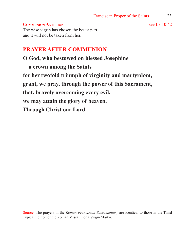**COMMUNION ANTIPHON** see Lk 10:42 The wise virgin has chosen the better part, and it will not be taken from her.

# **PRAYER AFTER COMMUNION**

**O God, who bestowed on blessed Josephine a crown among the Saints for her twofold triumph of virginity and martyrdom, grant, we pray, through the power of this Sacrament, that, bravely overcoming every evil, we may attain the glory of heaven. Through Christ our Lord.**

Source: The prayers in the *Roman Franciscan Sacramentary* are identical to those in the Third Typical Edition of the Roman Missal, For a Virgin Martyr.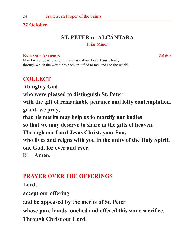### **ST. PETER of ALCÁNTARA** Friar Minor

#### **ENTRANCE ANTIPHON** Gal 6:14

May I never boast except in the cross of our Lord Jesus Christ, through which the world has been crucified to me, and I to the world.

### **COLLECT**

**Almighty God,**

**who were pleased to distinguish St. Peter**

**with the gift of remarkable penance and lofty contemplation, grant, we pray,**

**that his merits may help us to mortify our bodies**

**so that we may deserve to share in the gifts of heaven.**

**Through our Lord Jesus Christ, your Son,**

**who lives and reigns with you in the unity of the Holy Spirit, one God, for ever and ever.**

R. **Amen.**

### **PRAYER OVER THE OFFERINGS**

**Lord,**

**accept our offering**

**and be appeased by the merits of St. Peter**

**whose pure hands touched and offered this same sacrifice.**

**Through Christ our Lord.**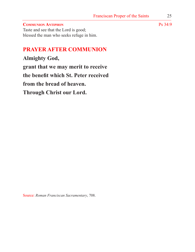#### **COMMUNION ANTIPHON** Ps 34:9

Taste and see that the Lord is good; blessed the man who seeks refuge in him.

# **PRAYER AFTER COMMUNION**

**Almighty God, grant that we may merit to receive the benefit which St. Peter received from the bread of heaven. Through Christ our Lord.**

Source: *Roman Franciscan Sacramentary*, 708.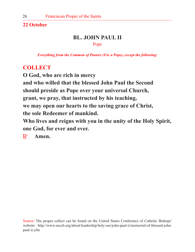# **BL. JOHN PAUL II**

Pope

*Everything from the Common of Pastors (For a Pope), except the following:*

# **COLLECT**

**O God, who are rich in mercy and who willed that the blessed John Paul the Second should preside as Pope over your universal Church, grant, we pray, that instructed by his teaching, we may open our hearts to the saving grace of Christ, the sole Redeemer of mankind.** 

**Who lives and reigns with you in the unity of the Holy Spirit, one God, for ever and ever.**

R. **Amen.**

Source: The proper collect can be found on the United States Conference of Catholic Bishops' website: http://www.usccb.org/about/leadership/holy-see/john-paul-ii/memorial-of-blessed-johnpaul-ii.cfm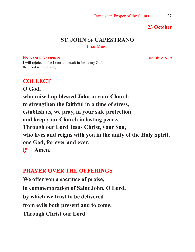# **ST. JOHN of CAPESTRANO** Friar Minor

#### **ENTRANCE ANTIPHON** see Hb 3:18-19

I will rejoice in the Lord and exult in Jesus my God. the Lord is my strength.

#### **COLLECT**

**O God, who raised up blessed John in your Church to strengthen the faithful in a time of stress, establish us, we pray, in your safe protection and keep your Church in lasting peace. Through our Lord Jesus Christ, your Son, who lives and reigns with you in the unity of the Holy Spirit, one God, for ever and ever.**

R. **Amen.**

# **PRAYER OVER THE OFFERINGS**

**We offer you a sacrifice of praise, in commemoration of Saint John, O Lord, by which we trust to be delivered from evils both present and to come. Through Christ our Lord.**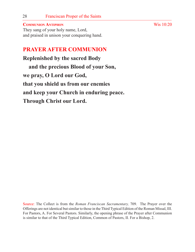#### **COMMUNION ANTIPHON** Wis 10:20

They sang of your holy name, Lord, and praised in unison your conquering hand.

# **PRAYER AFTER COMMUNION**

**Replenished by the sacred Body and the precious Blood of your Son, we pray, O Lord our God, that you shield us from our enemies and keep your Church in enduring peace. Through Christ our Lord.**

Source: The Collect is from the *Roman Franciscan Sacramentary,* 709. The Prayer over the Offerings are not identical but similar to those in the Third Typical Edition of the Roman Missal, III. For Pastors, A. For Several Pastors. Similarly, the opening phrase of the Prayer after Communion is similar to that of the Third Typical Edition, Common of Pastors, II. For a Bishop, 2.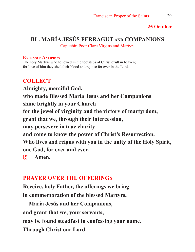# **BL. MARÍA JESÚS FERRAGUT and COMPANIONS** Capuchin Poor Clare Virgins and Martyrs

#### **Entrance Antiphon**

The holy Martyrs who followed in the footsteps of Christ exult in heaven; for love of him they shed their blood and rejoice for ever in the Lord.

#### **COLLECT**

**Almighty, merciful God, who made Blessed María Jesús and her Companions shine brightly in your Church for the jewel of virginity and the victory of martyrdom, grant that we, through their intercession, may persevere in true charity and come to know the power of Christ's Resurrection. Who lives and reigns with you in the unity of the Holy Spirit, one God, for ever and ever.**

R. **Amen.**

#### **PRAYER OVER THE OFFERINGS**

**Receive, holy Father, the offerings we bring in commemoration of the blessed Martyrs,**

**María Jesús and her Companions, and grant that we, your servants, may be found steadfast in confessing your name. Through Christ our Lord.**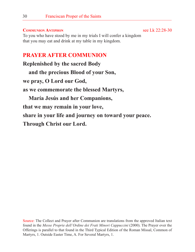#### **COMMUNION ANTIPHON** see Lk 22:28-30

To you who have stood by me in my trials I will confer a kingdom that you may eat and drink at my table in my kingdom.

#### **PRAYER AFTER COMMUNION**

**Replenished by the sacred Body and the precious Blood of your Son, we pray, O Lord our God, as we commemorate the blessed Martyrs, María Jesús and her Companions, that we may remain in your love, share in your life and journey on toward your peace. Through Christ our Lord.**

Source: The Collect and Prayer after Communion are translations from the approved Italian text found in the *Messe Proprie dell'Ordine dei Frati Minori Cappuccini* (2000). The Prayer over the Offerings is parallel to that found in the Third Typical Edition of the Roman Missal, Common of Martyrs, 1. Outside Easter Time, A. For Several Martyrs, 1.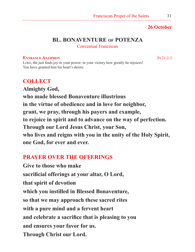# **BL. BONAVENTURE of POTENZA**

Conventual Franciscan

#### **ENTRANCE ANTIPHON** Ps 21:2-3

LORD, the just finds joy in your power; in your victory how greatly he rejoices! You have granted him his heart's desire.

#### **COLLECT**

**Almighty God, who made blessed Bonaventure illustrious in the virtue of obedience and in love for neighbor, grant, we pray, through his payers and example, to rejoice in spirit and to advance on the way of perfection. Through our Lord Jesus Christ, your Son, who lives and reigns with you in the unity of the Holy Spirit, one God, for ever and ever.**

# **PRAYER OVER THE OFFERINGS**

**Give to those who make sacrificial offerings at your altar, O Lord, that spirit of devotion which you instilled in Blessed Bonaventure, so that we may approach these sacred rites with a pure mind and a fervent heart and celebrate a sacrifice that is pleasing to you and ensures your favor for us. Through Christ our Lord.**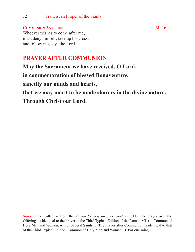#### **Communion Antiphon** Mt 16:24

Whoever wishes to come after me, must deny himself, take up his cross, and follow me, says the Lord.

# **PRAYER AFTER COMMUNION**

**May the Sacrament we have received, O Lord,**

**in commemoration of blessed Bonaventure,**

**sanctify our minds and hearts,**

**that we may merit to be made sharers in the divine nature.**

**Through Christ our Lord.**

Source: The Collect is from the *Roman Franciscan Sacramentary* (711). The Prayer over the Offerings is identical to the prayer in the Third Typical Edition of the Roman Missal, Common of Holy Men and Women, A. For Several Saints, 3. The Prayer after Communion is identical to that of the Third Typical Edition, Common of Holy Men and Women, B. For one saint, 1.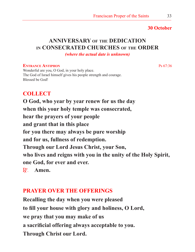# **ANNIVERSARY of the DEDICATION in CONSECRATED CHURCHES of the ORDER**

*(where the actual date is unknown)*

#### **ENTRANCE ANTIPHON** Ps 67:36

Wonderful are you, O God, in your holy place. The God of Israel himself gives his people strength and courage. Blessed be God!

# **COLLECT**

**O God, who year by year renew for us the day when this your holy temple was consecrated, hear the prayers of your people and grant that in this place for you there may always be pure worship and for us, fullness of redemption. Through our Lord Jesus Christ, your Son, who lives and reigns with you in the unity of the Holy Spirit, one God, for ever and ever.**

R. **Amen.**

# **PRAYER OVER THE OFFERINGS**

**Recalling the day when you were pleased to fill your house with glory and holiness, O Lord, we pray that you may make of us a sacrificial offering always acceptable to you. Through Christ our Lord.**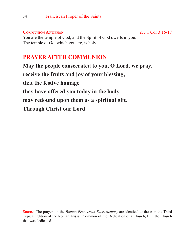#### **COMMUNION ANTIPHON** see 1 Cor 3:16-17

You are the temple of God, and the Spirit of God dwells in you. The temple of Go, which you are, is holy.

# **PRAYER AFTER COMMUNION**

**May the people consecrated to you, O Lord, we pray, receive the fruits and joy of your blessing, that the festive homage they have offered you today in the body may redound upon them as a spiritual gift. Through Christ our Lord.**

Source: The prayers in the *Roman Franciscan Sacramentary* are identical to those in the Third Typical Edition of the Roman Missal, Common of the Dedication of a Church, I. In the Church that was dedicated.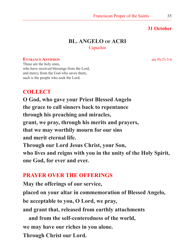# **BL. ANGELO of ACRI** Capuchin

#### **ENTRANCE ANTIPHON** see Ps 23:5-6

These are the holy ones, who have received blessings from the Lord, and mercy from the God who saves them, such is the people who seek the Lord.

# **COLLECT**

**O God, who gave your Priest Blessed Angelo the grace to call sinners back to repentance through his preaching and miracles, grant, we pray, through his merits and prayers, that we may worthily mourn for our sins and merit eternal life. Through our Lord Jesus Christ, your Son, who lives and reigns with you in the unity of the Holy Spirit, one God, for ever and ever.**

# **PRAYER OVER THE OFFERINGS**

**May the offerings of our service, placed on your altar in commemoration of Blessed Angelo, be acceptable to you, O Lord, we pray, and grant that, released from earthly attachments and from the self-centeredness of the world, we may have our riches in you alone. Through Christ our Lord.**